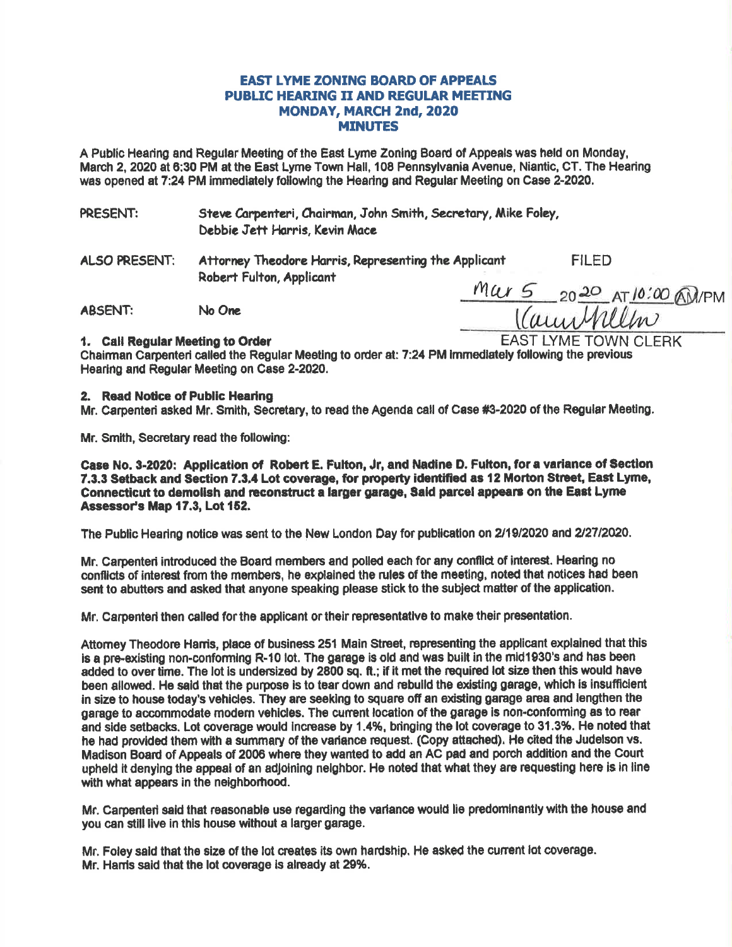## **EAST LYME ZONING BOARD OF APPEALS PUBLIC HEARING II AND REGULAR MEETING** MONDAY, MARCH 2nd, 2020 **MINUTES**

A Public Hearing and Regular Meeting of the East Lyme Zoning Board of Appeals was held on Monday, March 2, 2020 at 6:30 PM at the East Lyme Town Hall, 108 Pennsylvania Avenue, Niantic, CT. The Hearing was opened at 7:24 PM immediately following the Hearing and Regular Meeting on Case 2-2020.

Steve Carpenteri, Chairman, John Smith, Secretary, Mike Foley, PRESENT: Debbie Jett Harris, Kevin Mace

**ALSO PRESENT:** Attorney Theodore Harris, Representing the Applicant Robert Fulton, Applicant

**FILED** 

**ABSENT:** No One

Mar 5 2020 AT 10:00 AN/PM **EAST LYME TOWN CLERK** 

#### 1. Call Requiar Meeting to Order

Chairman Carpenteri called the Regular Meeting to order at: 7:24 PM immediately following the previous Hearing and Regular Meeting on Case 2-2020.

### 2. Read Notice of Public Hearing

Mr. Carpenteri asked Mr. Smith. Secretary, to read the Agenda call of Case #3-2020 of the Regular Meeting.

Mr. Smith. Secretary read the following:

Case No. 3-2020: Application of Robert E. Fulton, Jr. and Nadine D. Fulton, for a variance of Section 7.3.3 Setback and Section 7.3.4 Lot coverage, for property identified as 12 Morton Street, East Lyme, Connecticut to demolish and reconstruct a larger garage, Said parcel appears on the East Lyme Assessor's Map 17.3, Lot 152.

The Public Hearing notice was sent to the New London Day for publication on 2/19/2020 and 2/27/2020.

Mr. Carpenteri introduced the Board members and polled each for any conflict of interest. Hearing no conflicts of interest from the members, he explained the rules of the meeting, noted that notices had been sent to abutters and asked that anyone speaking please stick to the subject matter of the application.

Mr. Carpenten then called for the applicant or their representative to make their presentation.

Attorney Theodore Harris, place of business 251 Main Street, representing the applicant explained that this is a pre-existing non-conforming R-10 lot. The garage is old and was built in the mid1930's and has been added to over time. The lot is undersized by 2800 sq. ft.; if it met the required lot size then this would have been allowed. He said that the purpose is to tear down and rebuild the existing garage, which is insufficient in size to house today's vehicles. They are seeking to square off an existing garage area and lengthen the garage to accommodate modern vehicles. The current location of the garage is non-conforming as to rear and side setbacks. Lot coverage would increase by 1.4%, bringing the lot coverage to 31.3%. He noted that he had provided them with a summary of the variance request. (Copy attached). He cited the Judelson vs. Madison Board of Appeals of 2006 where they wanted to add an AC pad and porch addition and the Court upheld it denying the appeal of an adjoining neighbor. He noted that what they are requesting here is in line with what appears in the neighborhood.

Mr. Carpenteri said that reasonable use regarding the variance would lie predominantly with the house and you can still live in this house without a larger garage.

Mr. Foley said that the size of the lot creates its own hardship. He asked the current lot coverage. Mr. Harris said that the lot coverage is already at 29%.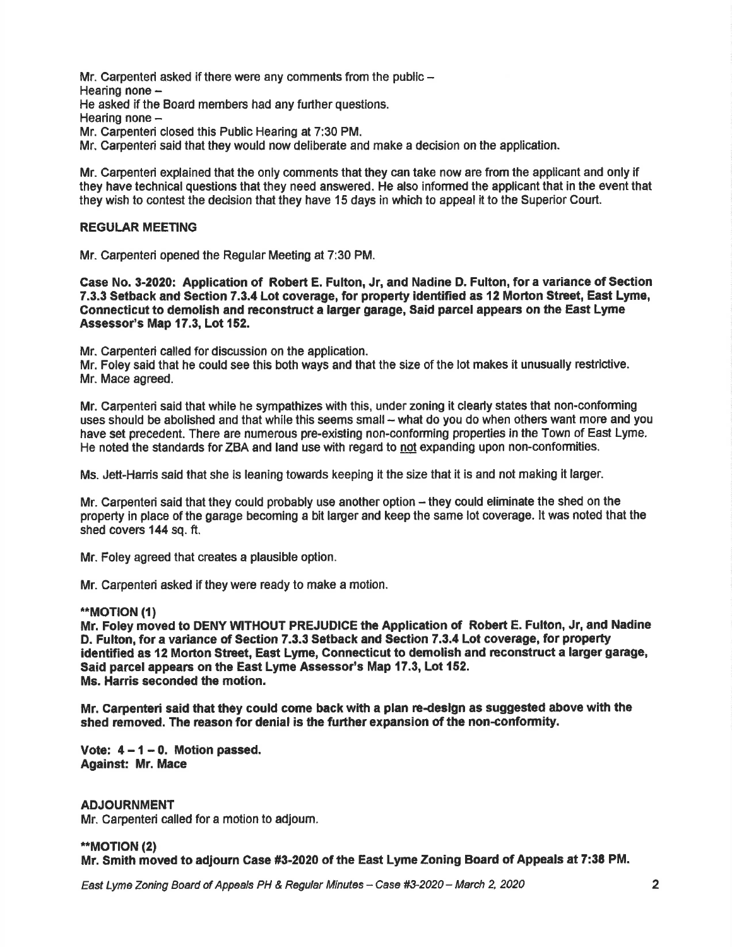Mr. Carpenteri asked if there were any comments from the public  $-$ Hearing none -He asked if the Board members had any further questions. Hearing none  $-$ Mr. Carpenteri closed this Public Hearing at 7:30 PM. Mr. Carpenteri said that they would now deliberate and make a decision on the application.

Mr. Carpenteri explained that the only comments that they can take now are from the applicant and only if they have technical questions that they need answered. He also informed the applicant that in the event that they wish to contest the decision that they have 15 days in which to appeal it to the Superior Court.

### **REGULAR MEETING**

Mr. Carpenteri opened the Regular Meeting at 7:30 PM.

Case No. 3-2020: Application of Robert E. Fulton, Jr, and Nadine D. Fulton, for a variance of Section 7.3.3 Setback and Section 7.3.4 Lot coverage, for property identified as 12 Morton Street, East Lyme, Connecticut to demolish and reconstruct a larger garage, Said parcel appears on the East Lyme Assessor's Map 17.3, Lot 152.

Mr. Carpenteri called for discussion on the application.

Mr. Foley said that he could see this both ways and that the size of the lot makes it unusually restrictive. Mr. Mace agreed.

Mr. Carpenteri said that while he sympathizes with this, under zoning it clearly states that non'conforming uses should be abolished and that while this seems small - what do you do when others want more and you have set precedent. There are numerous pre-existing non-conforming properties in the Town of East Lyme. He noted the standards for ZBA and land use with regard to not expanding upon non-conformities.

Ms. Jett-Hanis said that she is leaning towards keeping it the size that it is and not making it lager.

Mr. Carpenteri said that they could probably use another option – they could eliminate the shed on the property in place of the garage becoming a bit larger and keep the same lot coverage. lt was noted that the shed covers 144 sq. ft.

Mr. Foley agreed that creates a plausible option.

Mr. Carpenteri asked if they were ready to make a motion.

#### \*\*MOTION (1)

Mr. Foley moved to DENY WITHOUT PREJUDICE the Application of Robert E. Fulton, Jr, and Nadine D. Fulton, for a variance of Section 7.3.3 Setback and Section 7.3.4 Lot coverage, for property identified as 12 Morton Street, East Lyme, Connecticut to demolish and reconstruct a larger garage, Said parcel appears on the East Lyme Assessor's Map 17.3, Lot 152. Ms. Harris seconded the motion.

Mr. Carpenteri said that they could come back with a plan re-design as suggested above with the shed removed. The reason for denial is the further expansion of the non-conformity.

Vote:  $4 - 1 - 0$ . Motion passed. Against: Mr. Mace

ADJOURNMENT Mr. Carpenteri called for a motion t0 adjoum.

\*\*MOTION (2) Mr. Smith moved to adiourn Case #3-2020 of the East Lyme Zoning Board of Appeals at 7:38 PM.

East Lyme Zoning Board of Appeals PH & Regular Minutes - Case #3-2020 - March 2, 2020 20 20 20 20 20 20 20 20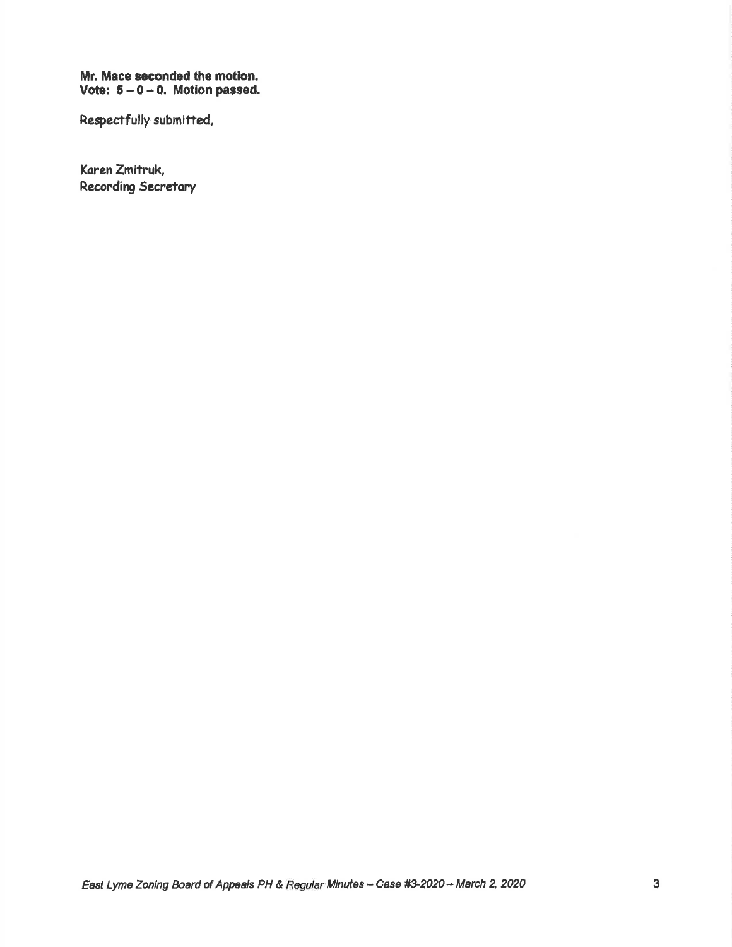# Mr. Mace seconded the motion.<br>Vote:  $5 - 0 - 0$ . Motion passed.

Respectfully submitted,

Karen Zmitruk, Recording Secretary